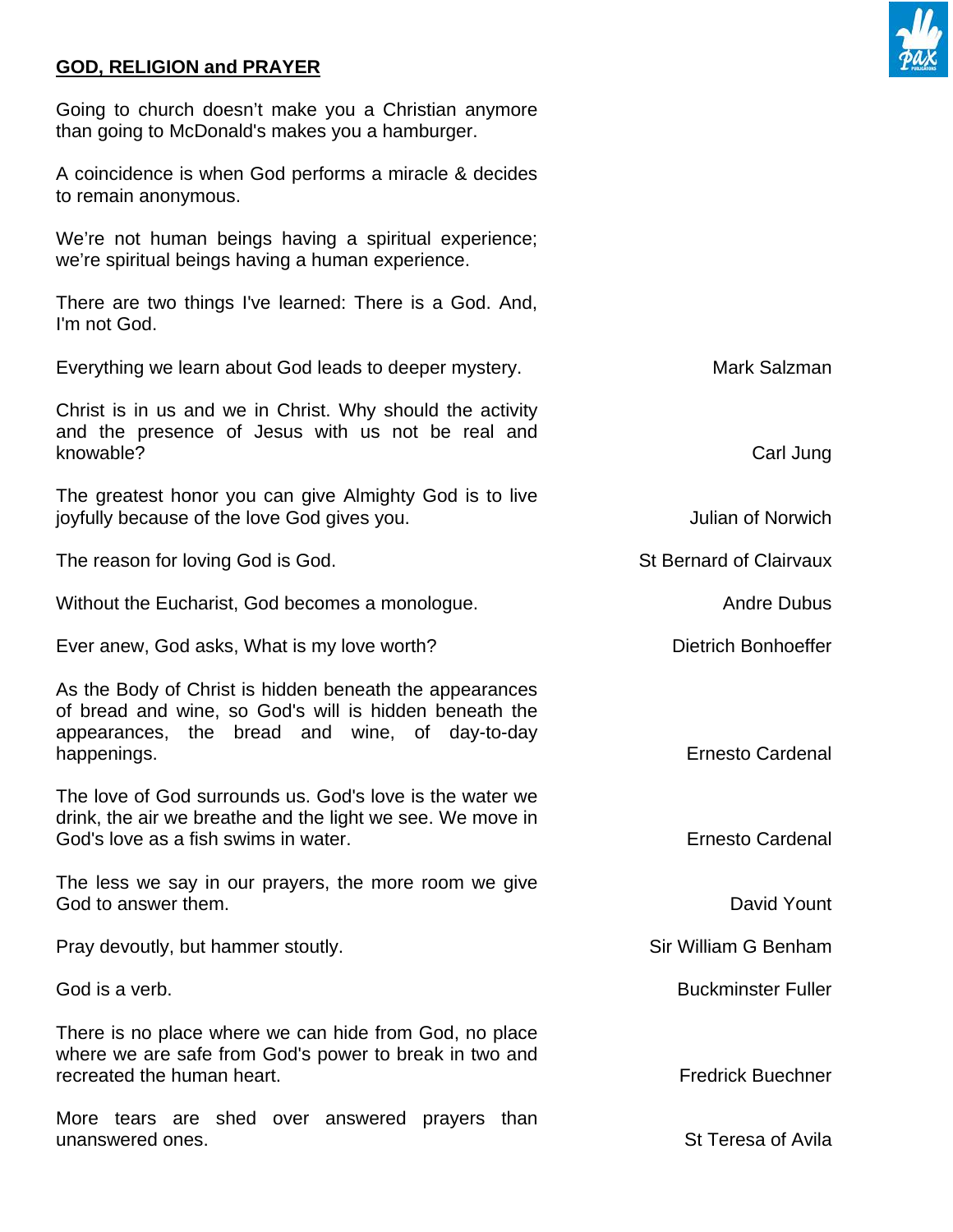## **GOD, RELIGION and PRAYER**

Going to church doesn't make you a Christian anymore than going to McDonald's makes you a hamburger.

A coincidence is when God performs a miracle & decides to remain anonymous.

We're not human beings having a spiritual experience; we're spiritual beings having a human experience.

There are two things I've learned: There is a God. And, I'm not God.

Everything we learn about God leads to deeper mystery. Manner and Mark Salzman

Christ is in us and we in Christ. Why should the activity and the presence of Jesus with us not be real and knowable? Carl Jung

The greatest honor you can give Almighty God is to live joyfully because of the love God gives you. The same state of Norwich states of Norwich

The reason for loving God is God. St Bernard of Clairvaux

Without the Eucharist, God becomes a monologue. The manufacture of the Bubus Andre Dubus

Ever anew, God asks, What is my love worth? Dietrich Bonhoeffer

As the Body of Christ is hidden beneath the appearances of bread and wine, so God's will is hidden beneath the appearances, the bread and wine, of day-to-day happenings. **Example 2018** happenings.

The love of God surrounds us. God's love is the water we drink, the air we breathe and the light we see. We move in God's love as a fish swims in water. The state of the state of the state Ernesto Cardenal

The less we say in our prayers, the more room we give God to answer them. The contract of the contract of the contract of the contract of the contract of the contract of the contract of the contract of the contract of the contract of the contract of the contract of the contra

Pray devoutly, but hammer stoutly. The state of the state of the Sir William G Benham

There is no place where we can hide from God, no place where we are safe from God's power to break in two and recreated the human heart. The state of the state of the state of the Fredrick Buechner

More tears are shed over answered prayers than unanswered ones. St Teresa of Avila

God is a verb. **Buckminster Fuller** Controllering the Controllering of the Buckminster Fuller

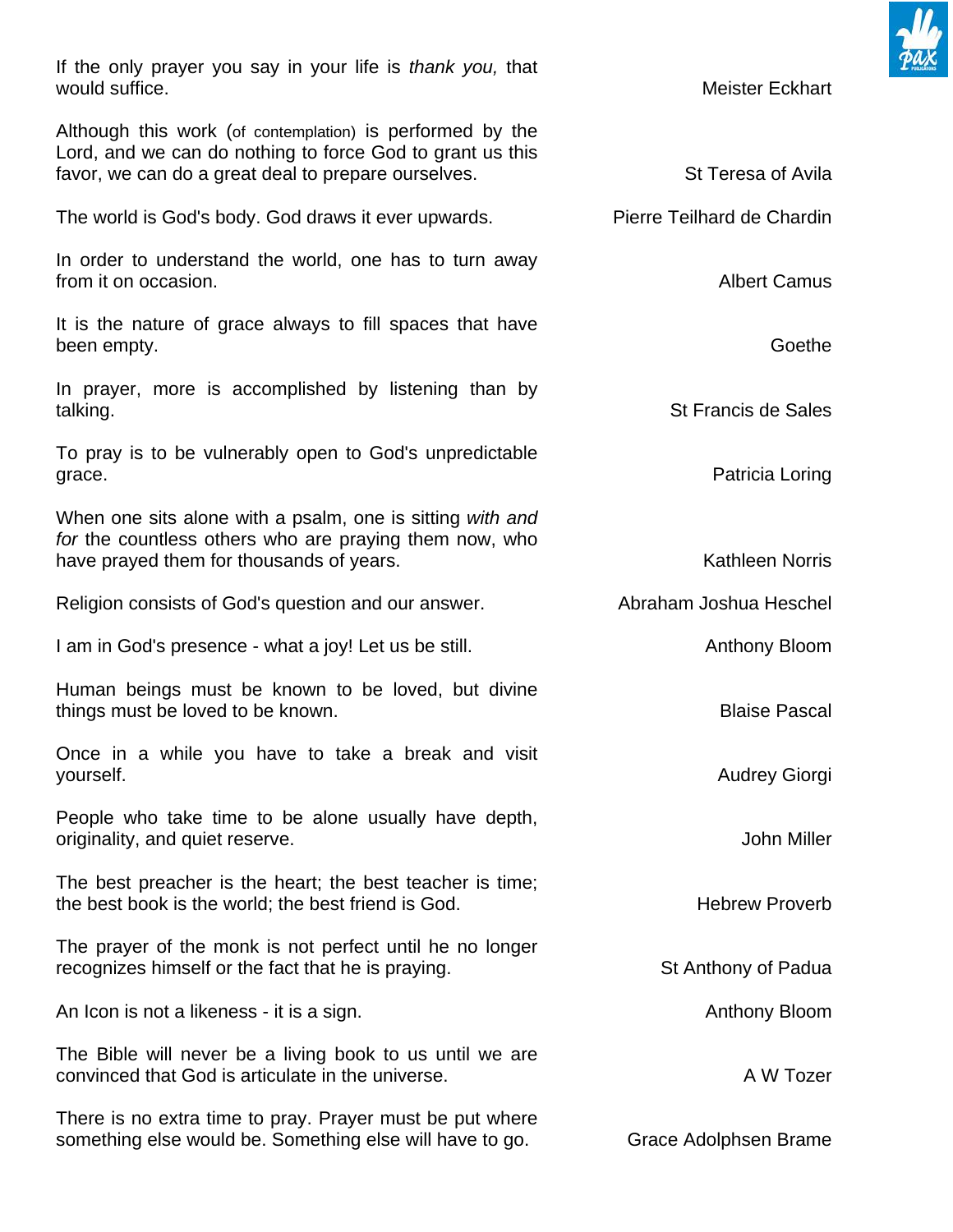If the only prayer you say in your life is *thank you,* that would suffice. The contract of the contract of the contract of the contract of the Meister Eckhart Although this work (of contemplation) is performed by the Lord, and we can do nothing to force God to grant us this favor, we can do a great deal to prepare ourselves. St Teresa of Avila The world is God's body. God draws it ever upwards. Pierre Teilhard de Chardin In order to understand the world, one has to turn away from it on occasion. The state of the state of the state of the state of the state of the state of the state of the state of the state of the state of the state of the state of the state of the state of the state of the st It is the nature of grace always to fill spaces that have been empty. Goether was a structured by the contract of the contract of the contract of the contract of the contract of the contract of the contract of the contract of the contract of the contract of the contract of the co In prayer, more is accomplished by listening than by talking. St Francis de Sales To pray is to be vulnerably open to God's unpredictable grace. **Patricia Loring** When one sits alone with a psalm, one is sitting *with and for* the countless others who are praying them now, who have prayed them for thousands of years. The manufacture of the Kathleen Norris Religion consists of God's question and our answer. Abraham Joshua Heschel I am in God's presence - what a joy! Let us be still. Anthony Bloom Human beings must be known to be loved, but divine things must be loved to be known. The same state of the state Pascal Blaise Pascal Once in a while you have to take a break and visit yourself. Audrey Giorgi and the state of the state of the state of the state of the state of the state of the state of the state of the state of the state of the state of the state of the state of the state of the state of People who take time to be alone usually have depth, originality, and quiet reserve. A contract the set of the set of the set of the set of the set of the set of the set of the set of the set of the set of the set of the set of the set of the set of the set of the set of the The best preacher is the heart; the best teacher is time; the best book is the world: the best friend is God. The example of the Hebrew Proverb The prayer of the monk is not perfect until he no longer recognizes himself or the fact that he is praying. St Anthony of Padua An Icon is not a likeness - it is a sign. Anthony Bloom and the state of the state of the Anthony Bloom The Bible will never be a living book to us until we are convinced that God is articulate in the universe. A W Tozer There is no extra time to pray. Prayer must be put where something else would be. Something else will have to go. Grace Adolphsen Brame

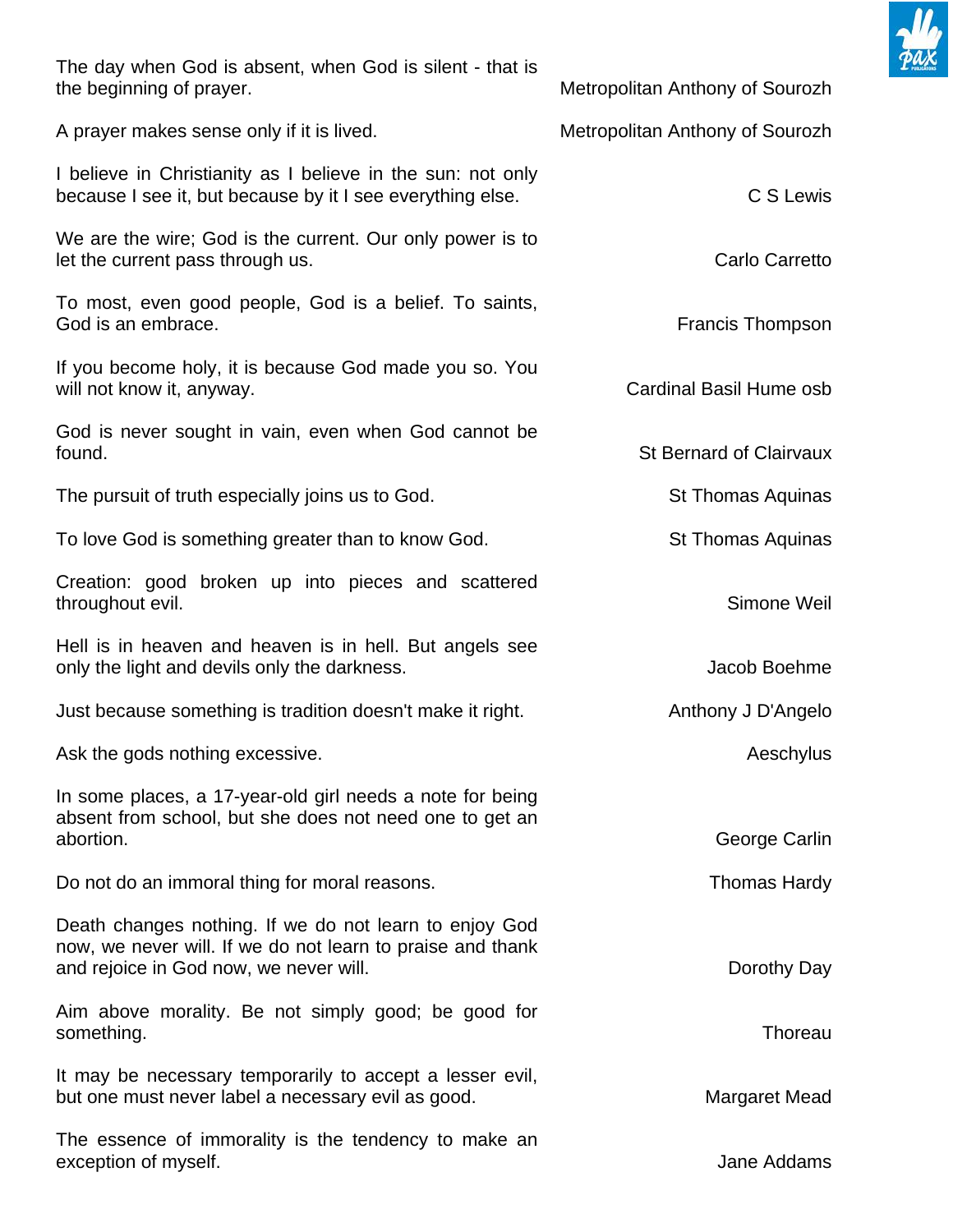

| The day when God is absent, when God is silent - that is<br>the beginning of prayer.                                                                           | Metropolitan Anthony of Sourozh |
|----------------------------------------------------------------------------------------------------------------------------------------------------------------|---------------------------------|
| A prayer makes sense only if it is lived.                                                                                                                      | Metropolitan Anthony of Sourozh |
| I believe in Christianity as I believe in the sun: not only<br>because I see it, but because by it I see everything else.                                      | C S Lewis                       |
| We are the wire; God is the current. Our only power is to<br>let the current pass through us.                                                                  | Carlo Carretto                  |
| To most, even good people, God is a belief. To saints,<br>God is an embrace.                                                                                   | <b>Francis Thompson</b>         |
| If you become holy, it is because God made you so. You<br>will not know it, anyway.                                                                            | Cardinal Basil Hume osb         |
| God is never sought in vain, even when God cannot be<br>found.                                                                                                 | <b>St Bernard of Clairvaux</b>  |
| The pursuit of truth especially joins us to God.                                                                                                               | <b>St Thomas Aquinas</b>        |
| To love God is something greater than to know God.                                                                                                             | <b>St Thomas Aquinas</b>        |
| Creation: good broken up into pieces and scattered<br>throughout evil.                                                                                         | Simone Weil                     |
| Hell is in heaven and heaven is in hell. But angels see<br>only the light and devils only the darkness.                                                        | Jacob Boehme                    |
| Just because something is tradition doesn't make it right.                                                                                                     | Anthony J D'Angelo              |
| Ask the gods nothing excessive.                                                                                                                                | Aeschylus                       |
| In some places, a 17-year-old girl needs a note for being<br>absent from school, but she does not need one to get an<br>abortion.                              | George Carlin                   |
| Do not do an immoral thing for moral reasons.                                                                                                                  | <b>Thomas Hardy</b>             |
| Death changes nothing. If we do not learn to enjoy God<br>now, we never will. If we do not learn to praise and thank<br>and rejoice in God now, we never will. | Dorothy Day                     |
| Aim above morality. Be not simply good; be good for<br>something.                                                                                              | Thoreau                         |
| It may be necessary temporarily to accept a lesser evil,<br>but one must never label a necessary evil as good.                                                 | Margaret Mead                   |
| The essence of immorality is the tendency to make an<br>exception of myself.                                                                                   | Jane Addams                     |